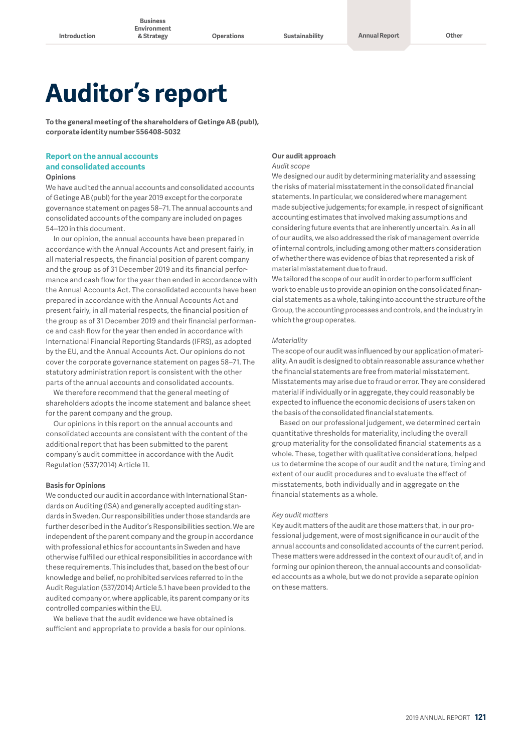**& Strategy Operations Sustainability Annual Report Other**

# **Auditor's report**

**To the general meeting of the shareholders of Getinge AB (publ), corporate identity number 556408-5032**

### **Report on the annual accounts and consolidated accounts**

#### **Opinions**

We have audited the annual accounts and consolidated accounts of Getinge AB (publ) for the year 2019 except for the corporate governance statement on pages 58–71. The annual accounts and consolidated accounts of the company are included on pages 54–120 in this document.

In our opinion, the annual accounts have been prepared in accordance with the Annual Accounts Act and present fairly, in all material respects, the financial position of parent company and the group as of 31 December 2019 and its financial performance and cash flow for the year then ended in accordance with the Annual Accounts Act. The consolidated accounts have been prepared in accordance with the Annual Accounts Act and present fairly, in all material respects, the financial position of the group as of 31 December 2019 and their financial performance and cash flow for the year then ended in accordance with International Financial Reporting Standards (IFRS), as adopted by the EU, and the Annual Accounts Act. Our opinions do not cover the corporate governance statement on pages 58–71. The statutory administration report is consistent with the other parts of the annual accounts and consolidated accounts.

We therefore recommend that the general meeting of shareholders adopts the income statement and balance sheet for the parent company and the group.

Our opinions in this report on the annual accounts and consolidated accounts are consistent with the content of the additional report that has been submitted to the parent company's audit committee in accordance with the Audit Regulation (537/2014) Article 11.

#### **Basis for Opinions**

We conducted our audit in accordance with International Standards on Auditing (ISA) and generally accepted auditing standards in Sweden. Our responsibilities under those standards are further described in the Auditor's Responsibilities section. We are independent of the parent company and the group in accordance with professional ethics for accountants in Sweden and have otherwise fulfilled our ethical responsibilities in accordance with these requirements. This includes that, based on the best of our knowledge and belief, no prohibited services referred to in the Audit Regulation (537/2014) Article 5.1 have been provided to the audited company or, where applicable, its parent company or its controlled companies within the EU.

We believe that the audit evidence we have obtained is sufficient and appropriate to provide a basis for our opinions.

## **Our audit approach**

#### *Audit scope*

We designed our audit by determining materiality and assessing the risks of material misstatement in the consolidated financial statements. In particular, we considered where management made subjective judgements; for example, in respect of significant accounting estimates that involved making assumptions and considering future events that are inherently uncertain. As in all of our audits, we also addressed the risk of management override of internal controls, including among other matters consideration of whether there was evidence of bias that represented a risk of material misstatement due to fraud.

We tailored the scope of our audit in order to perform sufficient work to enable us to provide an opinion on the consolidated financial statements as a whole, taking into account the structure of the Group, the accounting processes and controls, and the industry in which the group operates.

#### *Materiality*

The scope of our audit was influenced by our application of materiality. An audit is designed to obtain reasonable assurance whether the financial statements are free from material misstatement. Misstatements may arise due to fraud or error. They are considered material if individually or in aggregate, they could reasonably be expected to influence the economic decisions of users taken on the basis of the consolidated financial statements.

Based on our professional judgement, we determined certain quantitative thresholds for materiality, including the overall group materiality for the consolidated financial statements as a whole. These, together with qualitative considerations, helped us to determine the scope of our audit and the nature, timing and extent of our audit procedures and to evaluate the effect of misstatements, both individually and in aggregate on the financial statements as a whole.

#### *Key audit matters*

Key audit matters of the audit are those matters that, in our professional judgement, were of most significance in our audit of the annual accounts and consolidated accounts of the current period. These matters were addressed in the context of our audit of, and in forming our opinion thereon, the annual accounts and consolidated accounts as a whole, but we do not provide a separate opinion on these matters.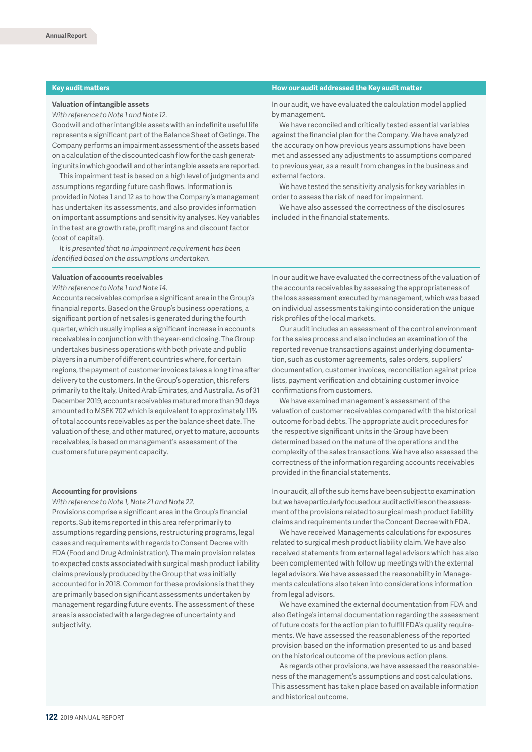#### **Valuation of intangible assets**

*With reference to Note 1 and Note 12.*

Goodwill and other intangible assets with an indefinite useful life represents a significant part of the Balance Sheet of Getinge. The Company performs an impairment assessment of the assets based on a calculation of the discounted cash flow for the cash generating units in which goodwill and other intangible assets are reported.

This impairment test is based on a high level of judgments and assumptions regarding future cash flows. Information is provided in Notes 1 and 12 as to how the Company's management has undertaken its assessments, and also provides information on important assumptions and sensitivity analyses. Key variables in the test are growth rate, profit margins and discount factor (cost of capital).

*It is presented that no impairment requirement has been identified based on the assumptions undertaken.*

#### **Valuation of accounts receivables**

*With reference to Note 1 and Note 14.*

Accounts receivables comprise a significant area in the Group's financial reports. Based on the Group's business operations, a significant portion of net sales is generated during the fourth quarter, which usually implies a significant increase in accounts receivables in conjunction with the year-end closing. The Group undertakes business operations with both private and public players in a number of different countries where, for certain regions, the payment of customer invoices takes a long time after delivery to the customers. In the Group's operation, this refers primarily to the Italy, United Arab Emirates, and Australia. As of 31 December 2019, accounts receivables matured more than 90 days amounted to MSEK 702 which is equivalent to approximately 11% of total accounts receivables as per the balance sheet date. The valuation of these, and other matured, or yet to mature, accounts receivables, is based on management's assessment of the customers future payment capacity.

#### **Accounting for provisions**

*With reference to Note 1, Note 21 and Note 22.*

Provisions comprise a significant area in the Group's financial reports. Sub items reported in this area refer primarily to assumptions regarding pensions, restructuring programs, legal cases and requirements with regards to Consent Decree with FDA (Food and Drug Administration). The main provision relates to expected costs associated with surgical mesh product liability claims previously produced by the Group that was initially accounted for in 2018. Common for these provisions is that they are primarily based on significant assessments undertaken by management regarding future events. The assessment of these areas is associated with a large degree of uncertainty and subjectivity.

#### **Key audit matters How our audit addressed the Key audit matter**

In our audit, we have evaluated the calculation model applied by management.

We have reconciled and critically tested essential variables against the financial plan for the Company. We have analyzed the accuracy on how previous years assumptions have been met and assessed any adjustments to assumptions compared to previous year, as a result from changes in the business and external factors.

We have tested the sensitivity analysis for key variables in order to assess the risk of need for impairment.

We have also assessed the correctness of the disclosures included in the financial statements.

In our audit we have evaluated the correctness of the valuation of the accounts receivables by assessing the appropriateness of the loss assessment executed by management, which was based on individual assessments taking into consideration the unique risk profiles of the local markets.

Our audit includes an assessment of the control environment for the sales process and also includes an examination of the reported revenue transactions against underlying documentation, such as customer agreements, sales orders, suppliers' documentation, customer invoices, reconciliation against price lists, payment verification and obtaining customer invoice confirmations from customers.

We have examined management's assessment of the valuation of customer receivables compared with the historical outcome for bad debts. The appropriate audit procedures for the respective significant units in the Group have been determined based on the nature of the operations and the complexity of the sales transactions. We have also assessed the correctness of the information regarding accounts receivables provided in the financial statements.

In our audit, all of the sub items have been subject to examination but we have particularly focused our audit activities on the assessment of the provisions related to surgical mesh product liability claims and requirements under the Concent Decree with FDA.

We have received Managements calculations for exposures related to surgical mesh product liability claim. We have also received statements from external legal advisors which has also been complemented with follow up meetings with the external legal advisors. We have assessed the reasonability in Managements calculations also taken into considerations information from legal advisors.

We have examined the external documentation from FDA and also Getinge's internal documentation regarding the assessment of future costs for the action plan to fulfill FDA's quality requirements. We have assessed the reasonableness of the reported provision based on the information presented to us and based on the historical outcome of the previous action plans.

As regards other provisions, we have assessed the reasonableness of the management's assumptions and cost calculations. This assessment has taken place based on available information and historical outcome.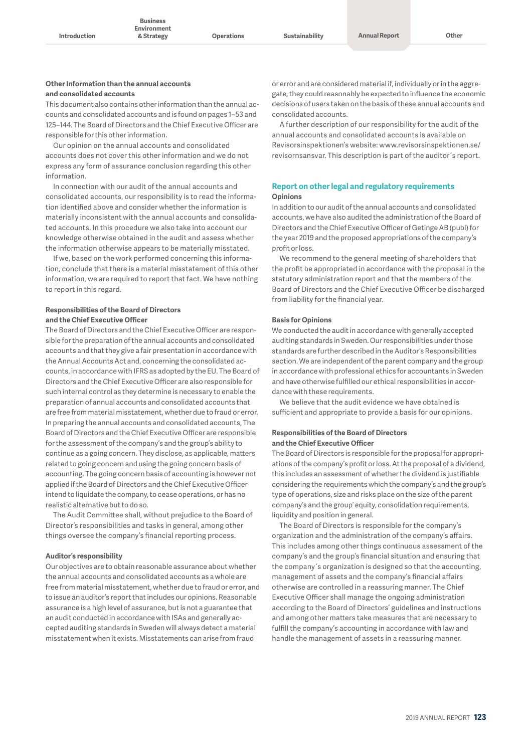#### **Other Information than the annual accounts and consolidated accounts**

This document also contains other information than the annual accounts and consolidated accounts and is found on pages 1–53 and 125–144. The Board of Directors and the Chief Executive Officer are responsible for this other information.

Our opinion on the annual accounts and consolidated accounts does not cover this other information and we do not express any form of assurance conclusion regarding this other information.

In connection with our audit of the annual accounts and consolidated accounts, our responsibility is to read the information identified above and consider whether the information is materially inconsistent with the annual accounts and consolidated accounts. In this procedure we also take into account our knowledge otherwise obtained in the audit and assess whether the information otherwise appears to be materially misstated.

If we, based on the work performed concerning this information, conclude that there is a material misstatement of this other information, we are required to report that fact. We have nothing to report in this regard.

#### **Responsibilities of the Board of Directors and the Chief Executive Officer**

The Board of Directors and the Chief Executive Officer are responsible for the preparation of the annual accounts and consolidated accounts and that they give a fair presentation in accordance with the Annual Accounts Act and, concerning the consolidated accounts, in accordance with IFRS as adopted by the EU. The Board of Directors and the Chief Executive Officer are also responsible for such internal control as they determine is necessary to enable the preparation of annual accounts and consolidated accounts that are free from material misstatement, whether due to fraud or error. In preparing the annual accounts and consolidated accounts, The Board of Directors and the Chief Executive Officer are responsible for the assessment of the company's and the group's ability to continue as a going concern. They disclose, as applicable, matters related to going concern and using the going concern basis of accounting. The going concern basis of accounting is however not applied if the Board of Directors and the Chief Executive Officer intend to liquidate the company, to cease operations, or has no realistic alternative but to do so.

The Audit Committee shall, without prejudice to the Board of Director's responsibilities and tasks in general, among other things oversee the company's financial reporting process.

#### **Auditor's responsibility**

Our objectives are to obtain reasonable assurance about whether the annual accounts and consolidated accounts as a whole are free from material misstatement, whether due to fraud or error, and to issue an auditor's report that includes our opinions. Reasonable assurance is a high level of assurance, but is not a guarantee that an audit conducted in accordance with ISAs and generally accepted auditing standards in Sweden will always detect a material misstatement when it exists. Misstatements can arise from fraud

or error and are considered material if, individually or in the aggregate, they could reasonably be expected to influence the economic decisions of users taken on the basis of these annual accounts and consolidated accounts.

A further description of our responsibility for the audit of the annual accounts and consolidated accounts is available on Revisorsinspektionen's website: www.revisorsinspektionen.se/ revisornsansvar. This description is part of the auditor´s report.

#### **Report on other legal and regulatory requirements Opinions**

In addition to our audit of the annual accounts and consolidated accounts, we have also audited the administration of the Board of Directors and the Chief Executive Officer of Getinge AB (publ) for the year 2019 and the proposed appropriations of the company's profit or loss.

We recommend to the general meeting of shareholders that the profit be appropriated in accordance with the proposal in the statutory administration report and that the members of the Board of Directors and the Chief Executive Officer be discharged from liability for the financial year.

#### **Basis for Opinions**

We conducted the audit in accordance with generally accepted auditing standards in Sweden. Our responsibilities under those standards are further described in the Auditor's Responsibilities section. We are independent of the parent company and the group in accordance with professional ethics for accountants in Sweden and have otherwise fulfilled our ethical responsibilities in accordance with these requirements.

We believe that the audit evidence we have obtained is sufficient and appropriate to provide a basis for our opinions.

#### **Responsibilities of the Board of Directors and the Chief Executive Officer**

The Board of Directors is responsible for the proposal for appropriations of the company's profit or loss. At the proposal of a dividend, this includes an assessment of whether the dividend is justifiable considering the requirements which the company's and the group's type of operations, size and risks place on the size of the parent company's and the group' equity, consolidation requirements, liquidity and position in general.

The Board of Directors is responsible for the company's organization and the administration of the company's affairs. This includes among other things continuous assessment of the company's and the group's financial situation and ensuring that the company´s organization is designed so that the accounting, management of assets and the company's financial affairs otherwise are controlled in a reassuring manner. The Chief Executive Officer shall manage the ongoing administration according to the Board of Directors' guidelines and instructions and among other matters take measures that are necessary to fulfill the company's accounting in accordance with law and handle the management of assets in a reassuring manner.